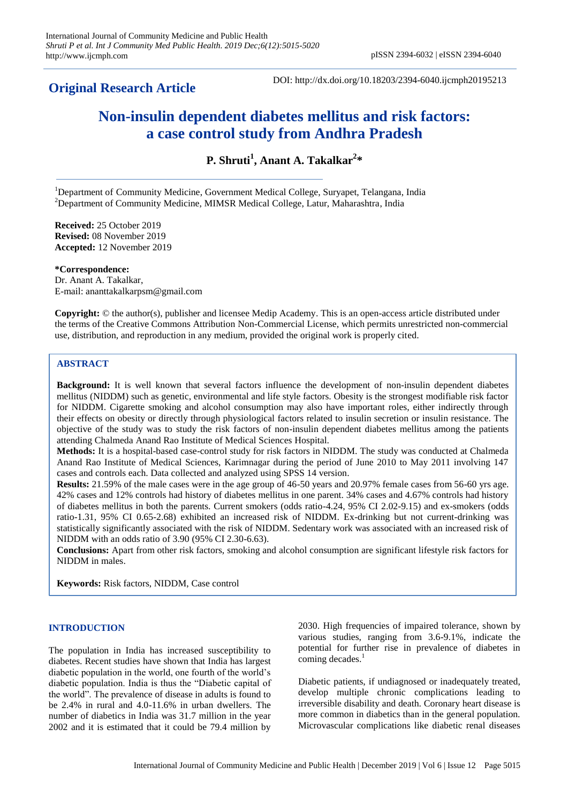# **Original Research Article**

DOI: http://dx.doi.org/10.18203/2394-6040.ijcmph20195213

# **Non-insulin dependent diabetes mellitus and risk factors: a case control study from Andhra Pradesh**

**P. Shruti<sup>1</sup> , Anant A. Takalkar<sup>2</sup> \***

<sup>1</sup>Department of Community Medicine, Government Medical College, Suryapet, Telangana, India <sup>2</sup>Department of Community Medicine, MIMSR Medical College, Latur, Maharashtra, India

**Received:** 25 October 2019 **Revised:** 08 November 2019 **Accepted:** 12 November 2019

**\*Correspondence:** Dr. Anant A. Takalkar, E-mail: ananttakalkarpsm@gmail.com

**Copyright:** © the author(s), publisher and licensee Medip Academy. This is an open-access article distributed under the terms of the Creative Commons Attribution Non-Commercial License, which permits unrestricted non-commercial use, distribution, and reproduction in any medium, provided the original work is properly cited.

# **ABSTRACT**

**Background:** It is well known that several factors influence the development of non-insulin dependent diabetes mellitus (NIDDM) such as genetic, environmental and life style factors. Obesity is the strongest modifiable risk factor for NIDDM. Cigarette smoking and alcohol consumption may also have important roles, either indirectly through their effects on obesity or directly through physiological factors related to insulin secretion or insulin resistance. The objective of the study was to study the risk factors of non-insulin dependent diabetes mellitus among the patients attending Chalmeda Anand Rao Institute of Medical Sciences Hospital.

**Methods:** It is a hospital-based case-control study for risk factors in NIDDM. The study was conducted at Chalmeda Anand Rao Institute of Medical Sciences, Karimnagar during the period of June 2010 to May 2011 involving 147 cases and controls each. Data collected and analyzed using SPSS 14 version.

**Results:** 21.59% of the male cases were in the age group of 46-50 years and 20.97% female cases from 56-60 yrs age. 42% cases and 12% controls had history of diabetes mellitus in one parent. 34% cases and 4.67% controls had history of diabetes mellitus in both the parents. Current smokers (odds ratio-4.24, 95% CI 2.02-9.15) and ex-smokers (odds ratio-1.31, 95% CI 0.65-2.68) exhibited an increased risk of NIDDM. Ex-drinking but not current-drinking was statistically significantly associated with the risk of NIDDM. Sedentary work was associated with an increased risk of NIDDM with an odds ratio of 3.90 (95% CI 2.30-6.63).

**Conclusions:** Apart from other risk factors, smoking and alcohol consumption are significant lifestyle risk factors for NIDDM in males.

**Keywords:** Risk factors, NIDDM, Case control

# **INTRODUCTION**

The population in India has increased susceptibility to diabetes. Recent studies have shown that India has largest diabetic population in the world, one fourth of the world's diabetic population. India is thus the "Diabetic capital of the world". The prevalence of disease in adults is found to be 2.4% in rural and 4.0-11.6% in urban dwellers. The number of diabetics in India was 31.7 million in the year 2002 and it is estimated that it could be 79.4 million by

2030. High frequencies of impaired tolerance, shown by various studies, ranging from 3.6-9.1%, indicate the potential for further rise in prevalence of diabetes in coming decades.<sup>1</sup>

Diabetic patients, if undiagnosed or inadequately treated, develop multiple chronic complications leading to irreversible disability and death. Coronary heart disease is more common in diabetics than in the general population. Microvascular complications like diabetic renal diseases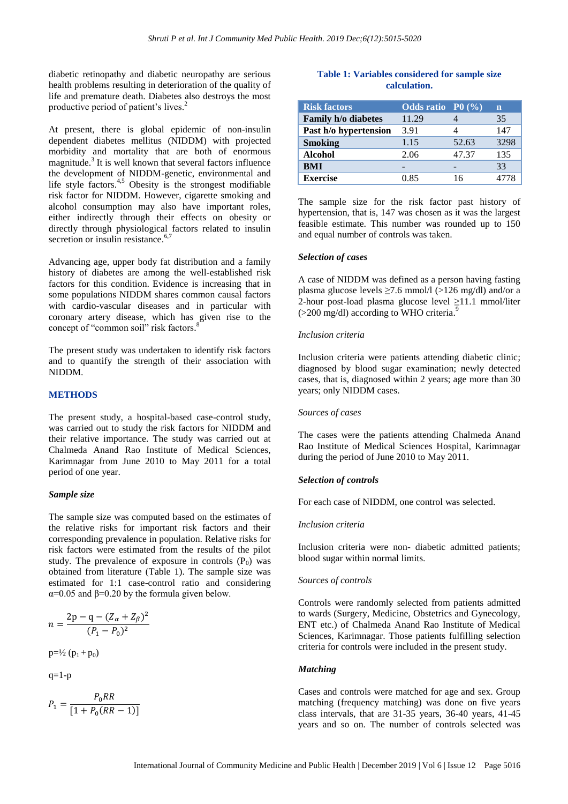diabetic retinopathy and diabetic neuropathy are serious health problems resulting in deterioration of the quality of life and premature death. Diabetes also destroys the most productive period of patient's lives. 2

At present, there is global epidemic of non-insulin dependent diabetes mellitus (NIDDM) with projected morbidity and mortality that are both of enormous magnitude.<sup>3</sup> It is well known that several factors influence the development of NIDDM-genetic, environmental and life style factors.<sup>4,5</sup> Obesity is the strongest modifiable risk factor for NIDDM. However, cigarette smoking and alcohol consumption may also have important roles, either indirectly through their effects on obesity or directly through physiological factors related to insulin secretion or insulin resistance.<sup>6,7</sup>

Advancing age, upper body fat distribution and a family history of diabetes are among the well-established risk factors for this condition. Evidence is increasing that in some populations NIDDM shares common causal factors with cardio-vascular diseases and in particular with coronary artery disease, which has given rise to the concept of "common soil" risk factors.<sup>8</sup>

The present study was undertaken to identify risk factors and to quantify the strength of their association with NIDDM.

## **METHODS**

The present study, a hospital-based case-control study, was carried out to study the risk factors for NIDDM and their relative importance. The study was carried out at Chalmeda Anand Rao Institute of Medical Sciences, Karimnagar from June 2010 to May 2011 for a total period of one year.

#### *Sample size*

The sample size was computed based on the estimates of the relative risks for important risk factors and their corresponding prevalence in population. Relative risks for risk factors were estimated from the results of the pilot study. The prevalence of exposure in controls  $(P_0)$  was obtained from literature (Table 1). The sample size was estimated for 1:1 case-control ratio and considering  $α=0.05$  and  $β=0.20$  by the formula given below.

$$
n = \frac{2p - q - (Z_{\alpha} + Z_{\beta})^2}{(P_1 - P_0)^2}
$$

 $p=1/2 (p_1 + p_0)$ 

 $q=1-p$ 

$$
P_1 = \frac{P_0RR}{[1 + P_0(RR - 1)]}
$$

# **Table 1: Variables considered for sample size calculation.**

| <b>Risk factors</b>   | Odds ratio $P_0(\%)$ |       | n    |
|-----------------------|----------------------|-------|------|
| Family h/o diabetes   | 11.29                |       | 35   |
| Past h/o hypertension | 3.91                 |       | 147  |
| <b>Smoking</b>        | 1.15                 | 52.63 | 3298 |
| <b>Alcohol</b>        | 2.06                 | 47.37 | 135  |
| <b>BMI</b>            |                      |       | 33   |
| <b>Exercise</b>       | 0.85                 | 16    |      |

The sample size for the risk factor past history of hypertension, that is, 147 was chosen as it was the largest feasible estimate. This number was rounded up to 150 and equal number of controls was taken.

#### *Selection of cases*

A case of NIDDM was defined as a person having fasting plasma glucose levels  $\geq$ 7.6 mmol/l (>126 mg/dl) and/or a 2-hour post-load plasma glucose level ≥11.1 mmol/liter  $($ >200 mg/dl) according to WHO criteria.<sup>9</sup>

#### *Inclusion criteria*

Inclusion criteria were patients attending diabetic clinic; diagnosed by blood sugar examination; newly detected cases, that is, diagnosed within 2 years; age more than 30 years; only NIDDM cases.

#### *Sources of cases*

The cases were the patients attending Chalmeda Anand Rao Institute of Medical Sciences Hospital, Karimnagar during the period of June 2010 to May 2011.

#### *Selection of controls*

For each case of NIDDM, one control was selected.

#### *Inclusion criteria*

Inclusion criteria were non- diabetic admitted patients; blood sugar within normal limits.

#### *Sources of controls*

Controls were randomly selected from patients admitted to wards (Surgery, Medicine, Obstetrics and Gynecology, ENT etc.) of Chalmeda Anand Rao Institute of Medical Sciences, Karimnagar. Those patients fulfilling selection criteria for controls were included in the present study.

#### *Matching*

Cases and controls were matched for age and sex. Group matching (frequency matching) was done on five years class intervals, that are 31-35 years, 36-40 years, 41-45 years and so on. The number of controls selected was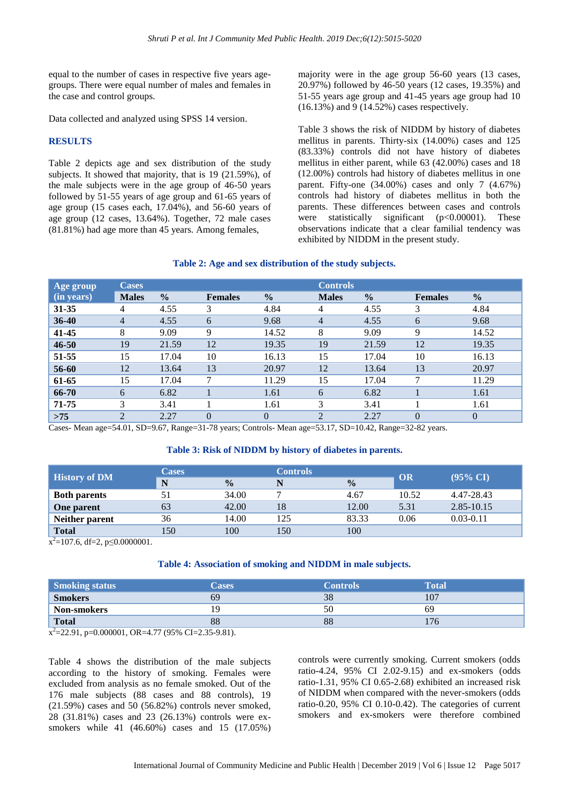equal to the number of cases in respective five years agegroups. There were equal number of males and females in the case and control groups.

Data collected and analyzed using SPSS 14 version.

## **RESULTS**

Table 2 depicts age and sex distribution of the study subjects. It showed that majority, that is 19 (21.59%), of the male subjects were in the age group of 46-50 years followed by 51-55 years of age group and 61-65 years of age group (15 cases each, 17.04%), and 56-60 years of age group (12 cases, 13.64%). Together, 72 male cases (81.81%) had age more than 45 years. Among females,

majority were in the age group 56-60 years (13 cases, 20.97%) followed by 46-50 years (12 cases, 19.35%) and 51-55 years age group and 41-45 years age group had 10 (16.13%) and 9 (14.52%) cases respectively.

Table 3 shows the risk of NIDDM by history of diabetes mellitus in parents. Thirty-six (14.00%) cases and 125 (83.33%) controls did not have history of diabetes mellitus in either parent, while 63 (42.00%) cases and 18 (12.00%) controls had history of diabetes mellitus in one parent. Fifty-one (34.00%) cases and only 7 (4.67%) controls had history of diabetes mellitus in both the parents. These differences between cases and controls were statistically significant (p<0.00001). These observations indicate that a clear familial tendency was exhibited by NIDDM in the present study.

# **Table 2: Age and sex distribution of the study subjects.**

| Age group  | <b>Cases</b>   |               |                |               | <b>Controls</b> |               |                |                |
|------------|----------------|---------------|----------------|---------------|-----------------|---------------|----------------|----------------|
| (in years) | <b>Males</b>   | $\frac{0}{0}$ | <b>Females</b> | $\frac{0}{0}$ | <b>Males</b>    | $\frac{0}{0}$ | <b>Females</b> | $\frac{0}{0}$  |
| $31 - 35$  | 4              | 4.55          | 3              | 4.84          | 4               | 4.55          | 3              | 4.84           |
| $36 - 40$  | $\overline{4}$ | 4.55          | 6              | 9.68          | $\overline{4}$  | 4.55          | 6              | 9.68           |
| $41 - 45$  | 8              | 9.09          | 9              | 14.52         | 8               | 9.09          | 9              | 14.52          |
| $46 - 50$  | 19             | 21.59         | 12             | 19.35         | 19              | 21.59         | 12             | 19.35          |
| 51-55      | 15             | 17.04         | 10             | 16.13         | 15              | 17.04         | 10             | 16.13          |
| 56-60      | 12             | 13.64         | 13             | 20.97         | 12              | 13.64         | 13             | 20.97          |
| 61-65      | 15             | 17.04         | 7              | 11.29         | 15              | 17.04         | 7              | 11.29          |
| 66-70      | 6              | 6.82          |                | 1.61          | 6               | 6.82          |                | 1.61           |
| 71-75      | 3              | 3.41          |                | 1.61          | 3               | 3.41          |                | 1.61           |
| $>75$      | $\overline{2}$ | 2.27          | $\theta$       | $\theta$      | $\overline{2}$  | 2.27          | $\overline{0}$ | $\overline{0}$ |

Cases- Mean age=54.01, SD=9.67, Range=31-78 years; Controls- Mean age=53.17, SD=10.42, Range=32-82 years.

# **Table 3: Risk of NIDDM by history of diabetes in parents.**

| <b>History of DM</b> | <b>Cases</b> |               | <b>Controls</b> |               |       |                     |
|----------------------|--------------|---------------|-----------------|---------------|-------|---------------------|
|                      | N            | $\frac{0}{0}$ | N               | $\frac{0}{0}$ | OR    | $(95\% \text{ CI})$ |
| <b>Both parents</b>  | 51           | 34.00         | −               | 4.67          | 10.52 | 4.47-28.43          |
| <b>One parent</b>    | 63           | 42.00         | 18              | 12.00         | 5.31  | 2.85-10.15          |
| Neither parent       | 36           | 14.00         | 125             | 83.33         | 0.06  | $0.03 - 0.11$       |
| <b>Total</b>         | 150          | 100           | 150             | 100           |       |                     |

 $x^2$ =107.6, df=2, p $\leq$ 0.0000001.

# **Table 4: Association of smoking and NIDDM in male subjects.**

| <b>Smoking status</b>                                    | <b>Cases</b> | <b>Controls</b> | <b>Total</b> |
|----------------------------------------------------------|--------------|-----------------|--------------|
| <b>Smokers</b>                                           | 69           | 38              | 107          |
| Non-smokers                                              | <b>y</b>     | 50              | 69           |
| <b>Total</b>                                             | 88           | 88              |              |
| $\frac{2}{2}$ 22.01 0.000001 OD 4.77 (050) OL 2.25 0.01) |              |                 |              |

 $x^2$ =22.91, p=0.000001, OR=4.77 (95% CI=2.35-9.81).

Table 4 shows the distribution of the male subjects according to the history of smoking. Females were excluded from analysis as no female smoked. Out of the 176 male subjects (88 cases and 88 controls), 19 (21.59%) cases and 50 (56.82%) controls never smoked, 28 (31.81%) cases and 23 (26.13%) controls were exsmokers while 41 (46.60%) cases and 15 (17.05%) controls were currently smoking. Current smokers (odds ratio-4.24, 95% CI 2.02-9.15) and ex-smokers (odds ratio-1.31, 95% CI 0.65-2.68) exhibited an increased risk of NIDDM when compared with the never-smokers (odds ratio-0.20, 95% CI 0.10-0.42). The categories of current smokers and ex-smokers were therefore combined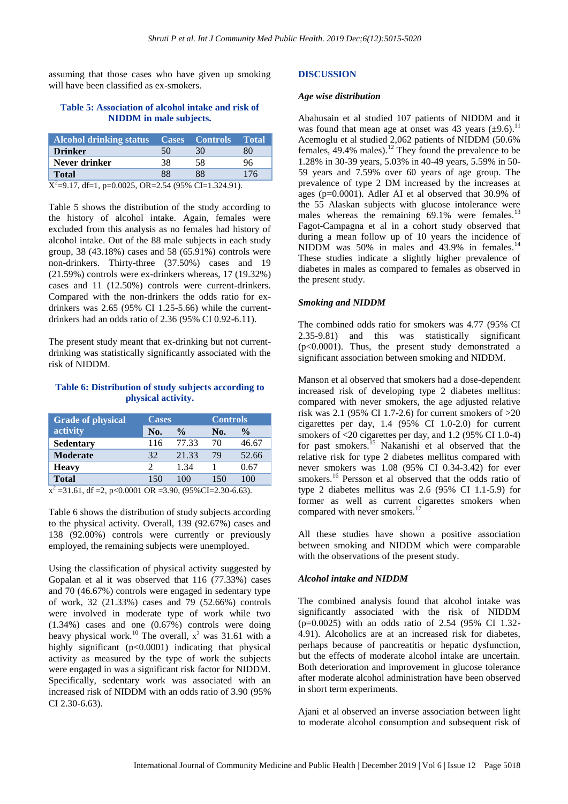assuming that those cases who have given up smoking will have been classified as ex-smokers.

# **Table 5: Association of alcohol intake and risk of NIDDM in male subjects.**

| <b>Alcohol drinking status</b>                                     |    | <b>Cases Controls</b> | <b>Total</b> |  |  |
|--------------------------------------------------------------------|----|-----------------------|--------------|--|--|
| <b>Drinker</b>                                                     | 50 | 30                    | 80           |  |  |
| Never drinker                                                      | 38 | 58                    | 96           |  |  |
| <b>Total</b>                                                       | 88 | 88                    | 176          |  |  |
| $\overline{X^2}$ =9.17, df=1, p=0.0025, OR=2.54 (95% CI=1.324.91). |    |                       |              |  |  |

Table 5 shows the distribution of the study according to the history of alcohol intake. Again, females were excluded from this analysis as no females had history of alcohol intake. Out of the 88 male subjects in each study group, 38 (43.18%) cases and 58 (65.91%) controls were non-drinkers. Thirty-three (37.50%) cases and 19 (21.59%) controls were ex-drinkers whereas, 17 (19.32%) cases and 11 (12.50%) controls were current-drinkers. Compared with the non-drinkers the odds ratio for exdrinkers was 2.65 (95% CI 1.25-5.66) while the currentdrinkers had an odds ratio of 2.36 (95% CI 0.92-6.11).

The present study meant that ex-drinking but not currentdrinking was statistically significantly associated with the risk of NIDDM.

# **Table 6: Distribution of study subjects according to physical activity.**

| <b>Grade of physical</b> | <b>Cases</b> |               |     | <b>Controls</b> |  |  |
|--------------------------|--------------|---------------|-----|-----------------|--|--|
| activity                 | No.          | $\frac{0}{0}$ | No. | $\frac{0}{0}$   |  |  |
| <b>Sedentary</b>         | 116          | 77.33         | 70  | 46.67           |  |  |
| <b>Moderate</b>          | 32           | 21.33         | 79  | 52.66           |  |  |
| <b>Heavy</b>             |              | 1.34          |     | 0.67            |  |  |
| <b>Total</b>             | 150          | 100           | 150 | 100             |  |  |

 $x^2 = 31.61$ , df = 2, p<0.0001 OR = 3.90, (95%CI=2.30-6.63).

Table 6 shows the distribution of study subjects according to the physical activity. Overall, 139 (92.67%) cases and 138 (92.00%) controls were currently or previously employed, the remaining subjects were unemployed.

Using the classification of physical activity suggested by Gopalan et al it was observed that 116 (77.33%) cases and 70 (46.67%) controls were engaged in sedentary type of work, 32 (21.33%) cases and 79 (52.66%) controls were involved in moderate type of work while two (1.34%) cases and one (0.67%) controls were doing heavy physical work.<sup>10</sup> The overall,  $x^2$  was 31.61 with a highly significant (p<0.0001) indicating that physical activity as measured by the type of work the subjects were engaged in was a significant risk factor for NIDDM. Specifically, sedentary work was associated with an increased risk of NIDDM with an odds ratio of 3.90 (95% CI 2.30-6.63).

#### **DISCUSSION**

#### *Age wise distribution*

Abahusain et al studied 107 patients of NIDDM and it was found that mean age at onset was 43 years  $(\pm 9.6)^{11}$ Acemoglu et al studied 2,062 patients of NIDDM (50.6% females,  $49.4\%$  males).<sup>12</sup> They found the prevalence to be 1.28% in 30-39 years, 5.03% in 40-49 years, 5.59% in 50- 59 years and 7.59% over 60 years of age group. The prevalence of type 2 DM increased by the increases at ages (p=0.0001). Adler AI et al observed that 30.9% of the 55 Alaskan subjects with glucose intolerance were males whereas the remaining  $69.1\%$  were females.<sup>13</sup> Fagot-Campagna et al in a cohort study observed that during a mean follow up of 10 years the incidence of NIDDM was 50% in males and 43.9% in females. $14$ These studies indicate a slightly higher prevalence of diabetes in males as compared to females as observed in the present study.

## *Smoking and NIDDM*

The combined odds ratio for smokers was 4.77 (95% CI 2.35-9.81) and this was statistically significant (p<0.0001). Thus, the present study demonstrated a significant association between smoking and NIDDM.

Manson et al observed that smokers had a dose-dependent increased risk of developing type 2 diabetes mellitus: compared with never smokers, the age adjusted relative risk was 2.1 (95% CI 1.7-2.6) for current smokers of >20 cigarettes per day, 1.4 (95% CI 1.0-2.0) for current smokers of <20 cigarettes per day, and 1.2 (95% CI 1.0-4) for past smokers.<sup>15</sup> Nakanishi et al observed that the relative risk for type 2 diabetes mellitus compared with never smokers was 1.08 (95% CI 0.34-3.42) for ever smokers.<sup>16</sup> Persson et al observed that the odds ratio of type 2 diabetes mellitus was 2.6 (95% CI 1.1-5.9) for former as well as current cigarettes smokers when compared with never smokers.<sup>1</sup>

All these studies have shown a positive association between smoking and NIDDM which were comparable with the observations of the present study.

# *Alcohol intake and NIDDM*

The combined analysis found that alcohol intake was significantly associated with the risk of NIDDM (p=0.0025) with an odds ratio of 2.54 (95% CI 1.32- 4.91). Alcoholics are at an increased risk for diabetes, perhaps because of pancreatitis or hepatic dysfunction, but the effects of moderate alcohol intake are uncertain. Both deterioration and improvement in glucose tolerance after moderate alcohol administration have been observed in short term experiments.

Ajani et al observed an inverse association between light to moderate alcohol consumption and subsequent risk of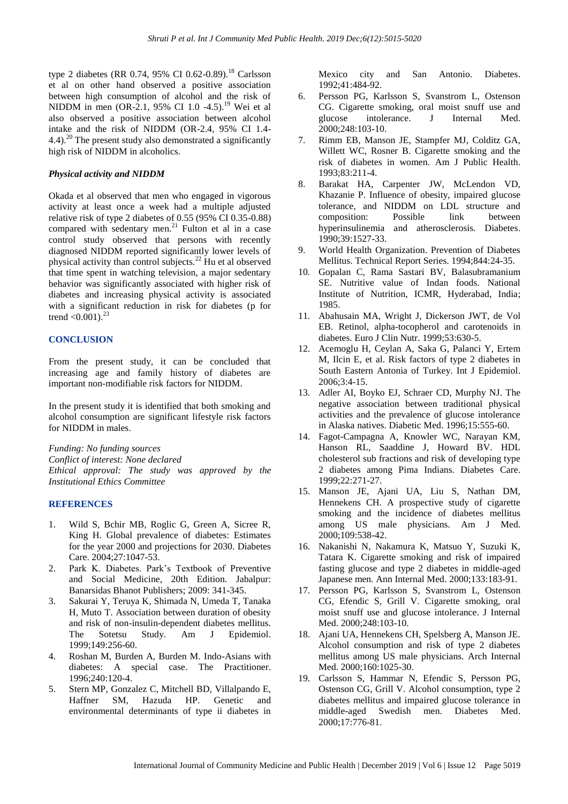type 2 diabetes (RR 0.74, 95% CI 0.62-0.89).<sup>18</sup> Carlsson et al on other hand observed a positive association between high consumption of alcohol and the risk of NIDDM in men (OR-2.1, 95% CI 1.0 -4.5). <sup>19</sup> Wei et al also observed a positive association between alcohol intake and the risk of NIDDM (OR-2.4, 95% CI 1.4- 4.4).<sup>20</sup> The present study also demonstrated a significantly high risk of NIDDM in alcoholics.

## *Physical activity and NIDDM*

Okada et al observed that men who engaged in vigorous activity at least once a week had a multiple adjusted relative risk of type 2 diabetes of 0.55 (95% CI 0.35-0.88) compared with sedentary men.<sup>21</sup> Fulton et al in a case control study observed that persons with recently diagnosed NIDDM reported significantly lower levels of physical activity than control subjects.<sup>22</sup> Hu et al observed that time spent in watching television, a major sedentary behavior was significantly associated with higher risk of diabetes and increasing physical activity is associated with a significant reduction in risk for diabetes (p for trend  $< 0.001$ ).<sup>23</sup>

## **CONCLUSION**

From the present study, it can be concluded that increasing age and family history of diabetes are important non-modifiable risk factors for NIDDM.

In the present study it is identified that both smoking and alcohol consumption are significant lifestyle risk factors for NIDDM in males.

*Funding: No funding sources Conflict of interest: None declared Ethical approval: The study was approved by the Institutional Ethics Committee*

#### **REFERENCES**

- 1. Wild S, Bchir MB, Roglic G, Green A, Sicree R, King H. Global prevalence of diabetes: Estimates for the year 2000 and projections for 2030. Diabetes Care. 2004;27:1047-53.
- 2. Park K. Diabetes. Park's Textbook of Preventive and Social Medicine, 20th Edition. Jabalpur: Banarsidas Bhanot Publishers; 2009: 341-345.
- 3. Sakurai Y, Teruya K, Shimada N, Umeda T, Tanaka H, Muto T. Association between duration of obesity and risk of non-insulin-dependent diabetes mellitus. The Sotetsu Study. Am J Epidemiol. 1999;149:256-60.
- 4. Roshan M, Burden A, Burden M. Indo-Asians with diabetes: A special case. The Practitioner. 1996;240:120-4.
- 5. Stern MP, Gonzalez C, Mitchell BD, Villalpando E, Haffner SM, Hazuda HP. Genetic and environmental determinants of type ii diabetes in

Mexico city and San Antonio. Diabetes. 1992;41:484-92.

- 6. Persson PG, Karlsson S, Svanstrom L, Ostenson CG. Cigarette smoking, oral moist snuff use and glucose intolerance. J Internal Med. 2000;248:103-10.
- 7. Rimm EB, Manson JE, Stampfer MJ, Colditz GA, Willett WC, Rosner B. Cigarette smoking and the risk of diabetes in women. Am J Public Health. 1993;83:211-4.
- 8. Barakat HA, Carpenter JW, McLendon VD, Khazanie P. Influence of obesity, impaired glucose tolerance, and NIDDM on LDL structure and composition: Possible link between hyperinsulinemia and atherosclerosis. Diabetes. 1990;39:1527-33.
- 9. World Health Organization. Prevention of Diabetes Mellitus. Technical Report Series. 1994;844:24-35.
- 10. Gopalan C, Rama Sastari BV, Balasubramanium SE. Nutritive value of Indan foods. National Institute of Nutrition, ICMR, Hyderabad, India; 1985.
- 11. Abahusain MA, Wright J, Dickerson JWT, de Vol EB. Retinol, alpha-tocopherol and carotenoids in diabetes. Euro J Clin Nutr. 1999;53:630-5.
- 12. Acemoglu H, Ceylan A, Saka G, Palanci Y, Ertem M, Ilcin E, et al. Risk factors of type 2 diabetes in South Eastern Antonia of Turkey. Int J Epidemiol. 2006;3:4-15.
- 13. Adler AI, Boyko EJ, Schraer CD, Murphy NJ. The negative association between traditional physical activities and the prevalence of glucose intolerance in Alaska natives. Diabetic Med. 1996;15:555-60.
- 14. Fagot-Campagna A, Knowler WC, Narayan KM, Hanson RL, Saaddine J, Howard BV. HDL cholesterol sub fractions and risk of developing type 2 diabetes among Pima Indians. Diabetes Care. 1999;22:271-27.
- 15. Manson JE, Ajani UA, Liu S, Nathan DM, Hennekens CH. A prospective study of cigarette smoking and the incidence of diabetes mellitus among US male physicians. Am J Med. 2000;109:538-42.
- 16. Nakanishi N, Nakamura K, Matsuo Y, Suzuki K, Tatara K. Cigarette smoking and risk of impaired fasting glucose and type 2 diabetes in middle-aged Japanese men. Ann Internal Med. 2000;133:183-91.
- 17. Persson PG, Karlsson S, Svanstrom L, Ostenson CG, Efendic S, Grill V. Cigarette smoking, oral moist snuff use and glucose intolerance. J Internal Med. 2000;248:103-10.
- 18. Ajani UA, Hennekens CH, Spelsberg A, Manson JE. Alcohol consumption and risk of type 2 diabetes mellitus among US male physicians. Arch Internal Med. 2000;160:1025-30.
- 19. Carlsson S, Hammar N, Efendic S, Persson PG, Ostenson CG, Grill V. Alcohol consumption, type 2 diabetes mellitus and impaired glucose tolerance in middle-aged Swedish men. Diabetes Med. 2000;17:776-81.